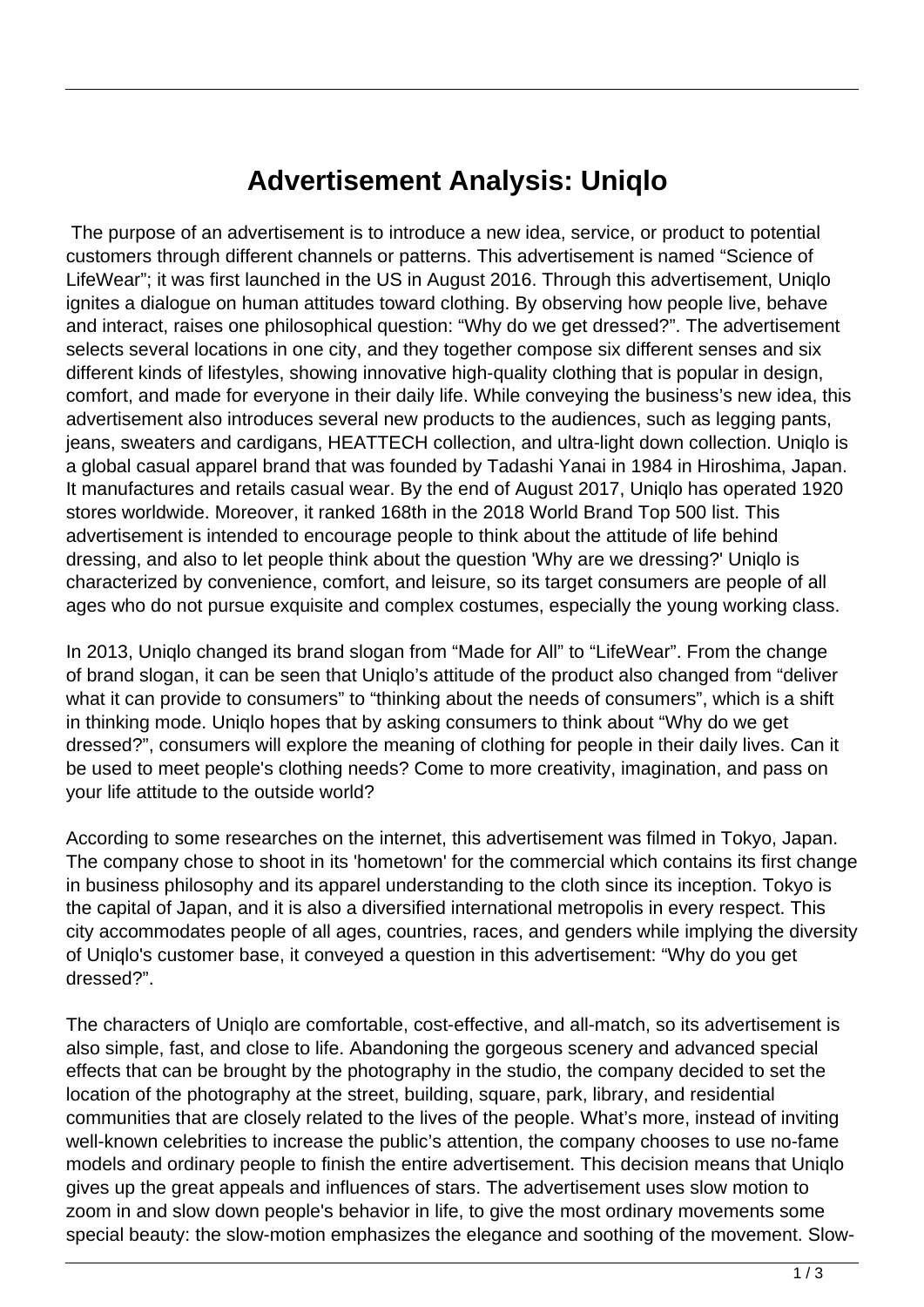## **Advertisement Analysis: Uniqlo**

 The purpose of an advertisement is to introduce a new idea, service, or product to potential customers through different channels or patterns. This advertisement is named "Science of LifeWear"; it was first launched in the US in August 2016. Through this advertisement, Uniqlo ignites a dialogue on human attitudes toward clothing. By observing how people live, behave and interact, raises one philosophical question: "Why do we get dressed?". The advertisement selects several locations in one city, and they together compose six different senses and six different kinds of lifestyles, showing innovative high-quality clothing that is popular in design, comfort, and made for everyone in their daily life. While conveying the business's new idea, this advertisement also introduces several new products to the audiences, such as legging pants, jeans, sweaters and cardigans, HEATTECH collection, and ultra-light down collection. Uniqlo is a global casual apparel brand that was founded by Tadashi Yanai in 1984 in Hiroshima, Japan. It manufactures and retails casual wear. By the end of August 2017, Uniqlo has operated 1920 stores worldwide. Moreover, it ranked 168th in the 2018 World Brand Top 500 list. This advertisement is intended to encourage people to think about the attitude of life behind dressing, and also to let people think about the question 'Why are we dressing?' Uniqlo is characterized by convenience, comfort, and leisure, so its target consumers are people of all ages who do not pursue exquisite and complex costumes, especially the young working class.

In 2013, Uniqlo changed its brand slogan from "Made for All" to "LifeWear". From the change of brand slogan, it can be seen that Uniqlo's attitude of the product also changed from "deliver what it can provide to consumers" to "thinking about the needs of consumers", which is a shift in thinking mode. Uniqlo hopes that by asking consumers to think about "Why do we get dressed?", consumers will explore the meaning of clothing for people in their daily lives. Can it be used to meet people's clothing needs? Come to more creativity, imagination, and pass on your life attitude to the outside world?

According to some researches on the internet, this advertisement was filmed in Tokyo, Japan. The company chose to shoot in its 'hometown' for the commercial which contains its first change in business philosophy and its apparel understanding to the cloth since its inception. Tokyo is the capital of Japan, and it is also a diversified international metropolis in every respect. This city accommodates people of all ages, countries, races, and genders while implying the diversity of Uniqlo's customer base, it conveyed a question in this advertisement: "Why do you get dressed?".

The characters of Uniqlo are comfortable, cost-effective, and all-match, so its advertisement is also simple, fast, and close to life. Abandoning the gorgeous scenery and advanced special effects that can be brought by the photography in the studio, the company decided to set the location of the photography at the street, building, square, park, library, and residential communities that are closely related to the lives of the people. What's more, instead of inviting well-known celebrities to increase the public's attention, the company chooses to use no-fame models and ordinary people to finish the entire advertisement. This decision means that Uniqlo gives up the great appeals and influences of stars. The advertisement uses slow motion to zoom in and slow down people's behavior in life, to give the most ordinary movements some special beauty: the slow-motion emphasizes the elegance and soothing of the movement. Slow-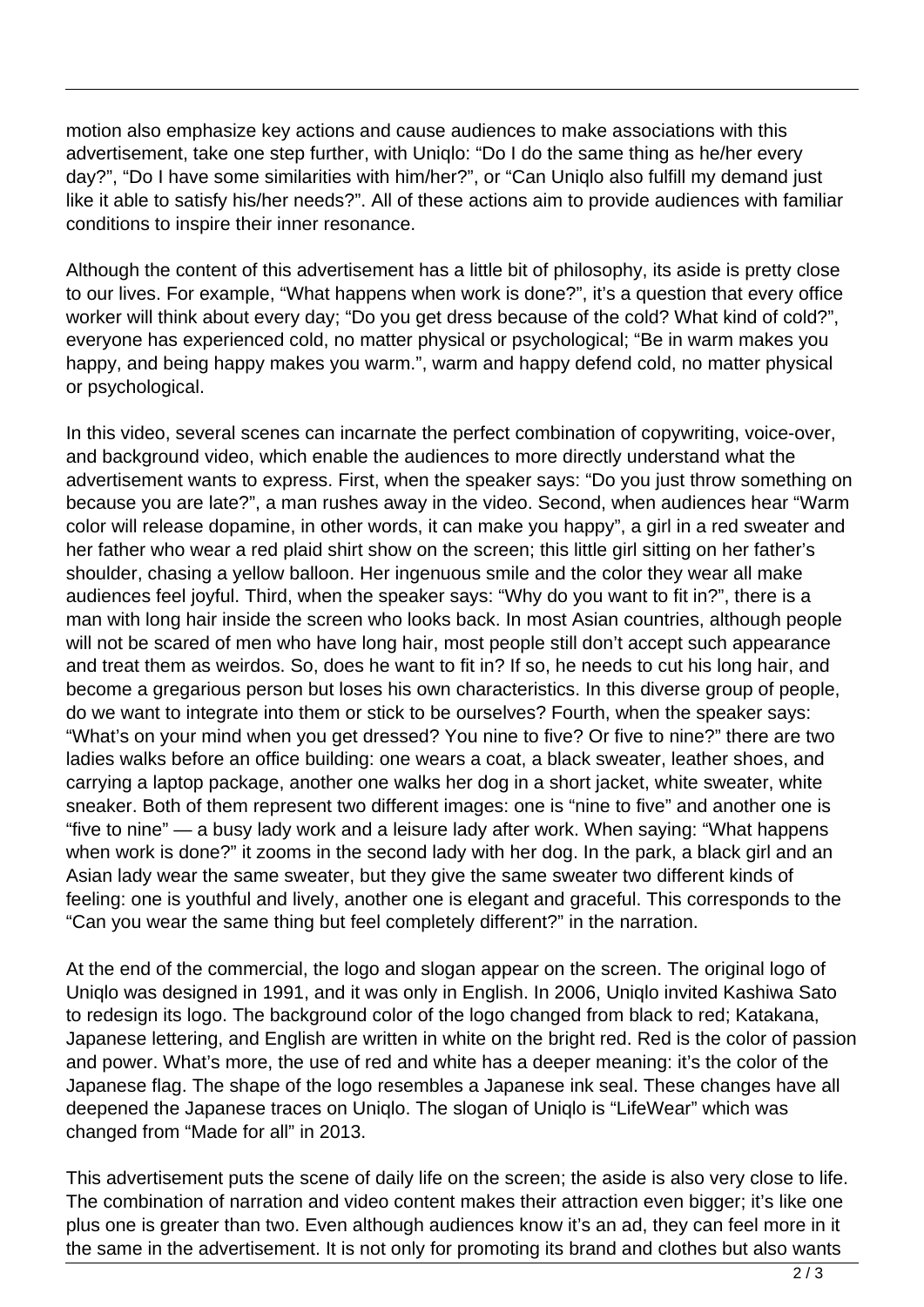motion also emphasize key actions and cause audiences to make associations with this advertisement, take one step further, with Uniqlo: "Do I do the same thing as he/her every day?", "Do I have some similarities with him/her?", or "Can Uniqlo also fulfill my demand just like it able to satisfy his/her needs?". All of these actions aim to provide audiences with familiar conditions to inspire their inner resonance.

Although the content of this advertisement has a little bit of philosophy, its aside is pretty close to our lives. For example, "What happens when work is done?", it's a question that every office worker will think about every day; "Do you get dress because of the cold? What kind of cold?", everyone has experienced cold, no matter physical or psychological; "Be in warm makes you happy, and being happy makes you warm.", warm and happy defend cold, no matter physical or psychological.

In this video, several scenes can incarnate the perfect combination of copywriting, voice-over, and background video, which enable the audiences to more directly understand what the advertisement wants to express. First, when the speaker says: "Do you just throw something on because you are late?", a man rushes away in the video. Second, when audiences hear "Warm color will release dopamine, in other words, it can make you happy", a girl in a red sweater and her father who wear a red plaid shirt show on the screen; this little girl sitting on her father's shoulder, chasing a yellow balloon. Her ingenuous smile and the color they wear all make audiences feel joyful. Third, when the speaker says: "Why do you want to fit in?", there is a man with long hair inside the screen who looks back. In most Asian countries, although people will not be scared of men who have long hair, most people still don't accept such appearance and treat them as weirdos. So, does he want to fit in? If so, he needs to cut his long hair, and become a gregarious person but loses his own characteristics. In this diverse group of people, do we want to integrate into them or stick to be ourselves? Fourth, when the speaker says: "What's on your mind when you get dressed? You nine to five? Or five to nine?" there are two ladies walks before an office building: one wears a coat, a black sweater, leather shoes, and carrying a laptop package, another one walks her dog in a short jacket, white sweater, white sneaker. Both of them represent two different images: one is "nine to five" and another one is "five to nine" — a busy lady work and a leisure lady after work. When saying: "What happens when work is done?" it zooms in the second lady with her dog. In the park, a black girl and an Asian lady wear the same sweater, but they give the same sweater two different kinds of feeling: one is youthful and lively, another one is elegant and graceful. This corresponds to the "Can you wear the same thing but feel completely different?" in the narration.

At the end of the commercial, the logo and slogan appear on the screen. The original logo of Uniqlo was designed in 1991, and it was only in English. In 2006, Uniqlo invited Kashiwa Sato to redesign its logo. The background color of the logo changed from black to red; Katakana, Japanese lettering, and English are written in white on the bright red. Red is the color of passion and power. What's more, the use of red and white has a deeper meaning: it's the color of the Japanese flag. The shape of the logo resembles a Japanese ink seal. These changes have all deepened the Japanese traces on Uniqlo. The slogan of Uniqlo is "LifeWear" which was changed from "Made for all" in 2013.

This advertisement puts the scene of daily life on the screen; the aside is also very close to life. The combination of narration and video content makes their attraction even bigger; it's like one plus one is greater than two. Even although audiences know it's an ad, they can feel more in it the same in the advertisement. It is not only for promoting its brand and clothes but also wants